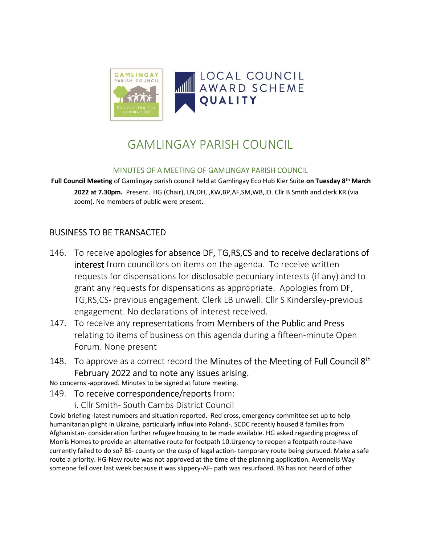

# GAMLINGAY PARISH COUNCIL

#### MINUTES OF A MEETING OF GAMLINGAY PARISH COUNCIL

Full Council Meeting of Gamlingay parish council held at Gamlingay Eco Hub Kier Suite on Tuesday 8<sup>th</sup> March 2022 at 7.30pm. Present. HG (Chair), LN,DH, ,KW,BP,AF,SM,WB,JD. Cllr B Smith and clerk KR (via zoom). No members of public were present.

# BUSINESS TO BE TRANSACTED

- 146. To receive apologies for absence DF, TG,RS,CS and to receive declarations of interest from councillors on items on the agenda. To receive written requests for dispensations for disclosable pecuniary interests (if any) and to grant any requests for dispensations as appropriate. Apologies from DF, TG,RS,CS- previous engagement. Clerk LB unwell. Cllr S Kindersley-previous engagement. No declarations of interest received.
- 147. To receive any representations from Members of the Public and Press relating to items of business on this agenda during a fifteen-minute Open Forum. None present
- 148. To approve as a correct record the Minutes of the Meeting of Full Council 8<sup>th</sup> February 2022 and to note any issues arising.
- No concerns -approved. Minutes to be signed at future meeting.
- 149. To receive correspondence/reports from:
	- i. Cllr Smith- South Cambs District Council

Covid briefing -latest numbers and situation reported. Red cross, emergency committee set up to help humanitarian plight in Ukraine, particularly influx into Poland-. SCDC recently housed 8 families from Afghanistan- consideration further refugee housing to be made available. HG asked regarding progress of Morris Homes to provide an alternative route for footpath 10.Urgency to reopen a footpath route-have currently failed to do so? BS- county on the cusp of legal action- temporary route being pursued. Make a safe route a priority. HG-New route was not approved at the time of the planning application. Avennells Way someone fell over last week because it was slippery-AF- path was resurfaced. BS has not heard of other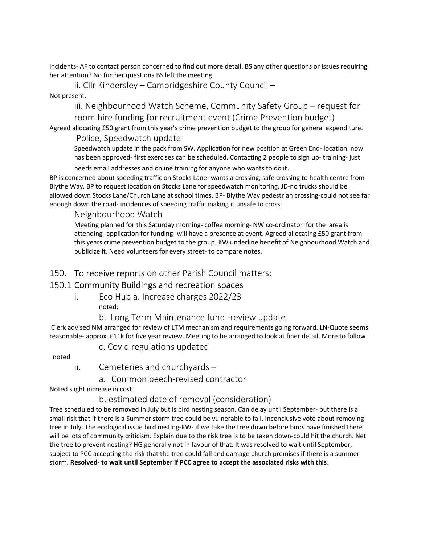incidents- AF to contact person concerned to find out more detail. BS any other questions or issues requiring her attention? No further questions.BS left the meeting.

ii. Cllr Kindersley – Cambridgeshire County Council – Not present.

> iii. Neighbourhood Watch Scheme, Community Safety Group – request for room hire funding for recruitment event (Crime Prevention budget)

Agreed allocating £50 grant from this year's crime prevention budget to the group for general expenditure.

#### Police, Speedwatch update

Speedwatch update in the pack from SW. Application for new position at Green End- location now has been approved- first exercises can be scheduled. Contacting 2 people to sign up- training- just

needs email addresses and online training for anyone who wants to do it.

BP is concerned about speeding traffic on Stocks Lane- wants a crossing, safe crossing to health centre from Blythe Way. BP to request location on Stocks Lane for speedwatch monitoring. JD-no trucks should be allowed down Stocks Lane/Church Lane at school times. BP- Blythe Way pedestrian crossing-could not see far enough down the road- incidences of speeding traffic making it unsafe to cross.

#### Neighbourhood Watch

Meeting planned for this Saturday morning- coffee morning- NW co-ordinator for the area is attending- application for funding- will have a presence at event. Agreed allocating £50 grant from this years crime prevention budget to the group. KW underline benefit of Neighbourhood Watch and publicize it. Need volunteers for every street- to compare notes.

#### 150. To receive reports on other Parish Council matters:

## 150.1 Community Buildings and recreation spaces

- i. Eco Hub a. Increase charges 2022/23 noted;
	- b. Long Term Maintenance fund -review update

 Clerk advised NM arranged for review of LTM mechanism and requirements going forward. LN-Quote seems reasonable- approx. £11k for five year review. Meeting to be arranged to look at finer detail. More to follow

#### c. Covid regulations updated

noted

ii. Cemeteries and churchyards –

a. Common beech-revised contractor

Noted slight increase in cost

## b. estimated date of removal (consideration)

Tree scheduled to be removed in July but is bird nesting season. Can delay until September- but there is a small risk that if there is a Summer storm tree could be vulnerable to fall. Inconclusive vote about removing tree in July. The ecological issue bird nesting-KW- if we take the tree down before birds have finished there will be lots of community criticism. Explain due to the risk tree is to be taken down-could hit the church. Net the tree to prevent nesting? HG generally not in favour of that. It was resolved to wait until September, subject to PCC accepting the risk that the tree could fall and damage church premises if there is a summer storm. Resolved- to wait until September if PCC agree to accept the associated risks with this.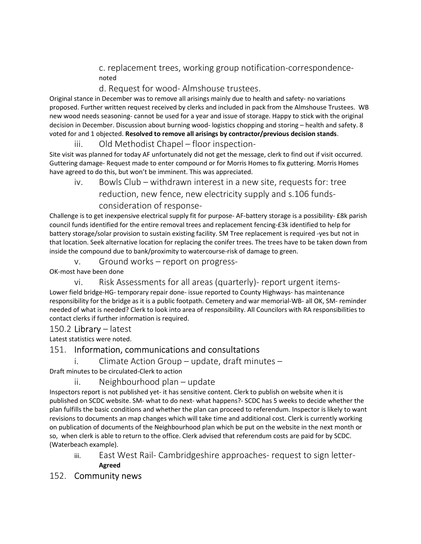c. replacement trees, working group notification-correspondencenoted

### d. Request for wood- Almshouse trustees.

Original stance in December was to remove all arisings mainly due to health and safety- no variations proposed. Further written request received by clerks and included in pack from the Almshouse Trustees. WB new wood needs seasoning- cannot be used for a year and issue of storage. Happy to stick with the original decision in December. Discussion about burning wood- logistics chopping and storing - health and safety. 8 voted for and 1 objected. Resolved to remove all arisings by contractor/previous decision stands.

iii. Old Methodist Chapel – floor inspection-

Site visit was planned for today AF unfortunately did not get the message, clerk to find out if visit occurred. Guttering damage- Request made to enter compound or for Morris Homes to fix guttering. Morris Homes have agreed to do this, but won't be imminent. This was appreciated.

iv. Bowls Club – withdrawn interest in a new site, requests for: tree reduction, new fence, new electricity supply and s.106 fundsconsideration of response-

Challenge is to get inexpensive electrical supply fit for purpose- AF-battery storage is a possibility- £8k parish council funds identified for the entire removal trees and replacement fencing-£3k identified to help for battery storage/solar provision to sustain existing facility. SM Tree replacement is required -yes but not in that location. Seek alternative location for replacing the conifer trees. The trees have to be taken down from inside the compound due to bank/proximity to watercourse-risk of damage to green.

v. Ground works – report on progress-OK-most have been done

vi. Risk Assessments for all areas (quarterly)- report urgent items-

Lower field bridge-HG- temporary repair done- issue reported to County Highways- has maintenance responsibility for the bridge as it is a public footpath. Cemetery and war memorial-WB- all OK, SM- reminder needed of what is needed? Clerk to look into area of responsibility. All Councilors with RA responsibilities to contact clerks if further information is required.

#### 150.2 Library – latest

Latest statistics were noted.

## 151. Information, communications and consultations

i. Climate Action Group – update, draft minutes –

Draft minutes to be circulated-Clerk to action

#### ii. Neighbourhood plan – update

Inspectors report is not published yet- it has sensitive content. Clerk to publish on website when it is published on SCDC website. SM- what to do next- what happens?- SCDC has 5 weeks to decide whether the plan fulfills the basic conditions and whether the plan can proceed to referendum. Inspector is likely to want revisions to documents an map changes which will take time and additional cost. Clerk is currently working on publication of documents of the Neighbourhood plan which be put on the website in the next month or so, when clerk is able to return to the office. Clerk advised that referendum costs are paid for by SCDC. (Waterbeach example).

iii. East West Rail- Cambridgeshire approaches- request to sign letter-

Agreed

#### 152. Community news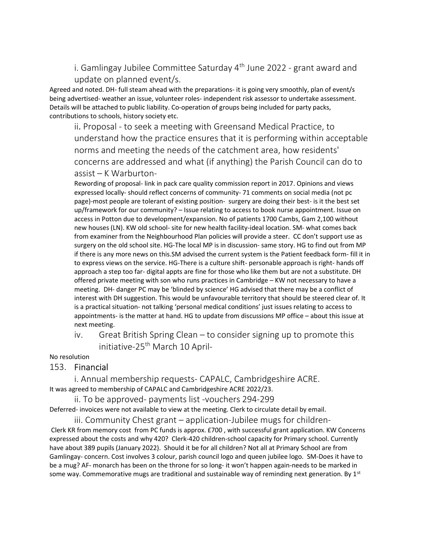i. Gamlingay Jubilee Committee Saturday  $4<sup>th</sup>$  June 2022 - grant award and update on planned event/s.

Agreed and noted. DH- full steam ahead with the preparations- it is going very smoothly, plan of event/s being advertised- weather an issue, volunteer roles- independent risk assessor to undertake assessment. Details will be attached to public liability. Co-operation of groups being included for party packs, contributions to schools, history society etc.

ii. Proposal - to seek a meeting with Greensand Medical Practice, to understand how the practice ensures that it is performing within acceptable norms and meeting the needs of the catchment area, how residents' concerns are addressed and what (if anything) the Parish Council can do to assist – K Warburton-

Rewording of proposal- link in pack care quality commission report in 2017. Opinions and views expressed locally- should reflect concerns of community- 71 comments on social media (not pc page)-most people are tolerant of existing position- surgery are doing their best- is it the best set up/framework for our community? – Issue relating to access to book nurse appointment. Issue on access in Potton due to development/expansion. No of patients 1700 Cambs, Gam 2,100 without new houses (LN). KW old school- site for new health facility-ideal location. SM- what comes back from examiner from the Neighbourhood Plan policies will provide a steer. CC don't support use as surgery on the old school site. HG-The local MP is in discussion- same story. HG to find out from MP if there is any more news on this.SM advised the current system is the Patient feedback form- fill it in to express views on the service. HG-There is a culture shift- personable approach is right- hands off approach a step too far- digital appts are fine for those who like them but are not a substitute. DH offered private meeting with son who runs practices in Cambridge – KW not necessary to have a meeting. DH- danger PC may be 'blinded by science' HG advised that there may be a conflict of interest with DH suggestion. This would be unfavourable territory that should be steered clear of. It is a practical situation- not talking 'personal medical conditions' just issues relating to access to appointments- is the matter at hand. HG to update from discussions MP office – about this issue at next meeting.

iv. Great British Spring Clean – to consider signing up to promote this initiative-25<sup>th</sup> March 10 April-

#### No resolution

#### 153. Financial

 i. Annual membership requests- CAPALC, Cambridgeshire ACRE. It was agreed to membership of CAPALC and Cambridgeshire ACRE 2022/23.

 ii. To be approved- payments list -vouchers 294-299 Deferred- invoices were not available to view at the meeting. Clerk to circulate detail by email.

 iii. Community Chest grant – application-Jubilee mugs for children- Clerk KR from memory cost from PC funds is approx. £700 , with successful grant application. KW Concerns expressed about the costs and why 420? Clerk-420 children-school capacity for Primary school. Currently have about 389 pupils (January 2022). Should it be for all children? Not all at Primary School are from Gamlingay- concern. Cost involves 3 colour, parish council logo and queen jubilee logo. SM-Does it have to be a mug? AF- monarch has been on the throne for so long- it won't happen again-needs to be marked in some way. Commemorative mugs are traditional and sustainable way of reminding next generation. By  $1^{st}$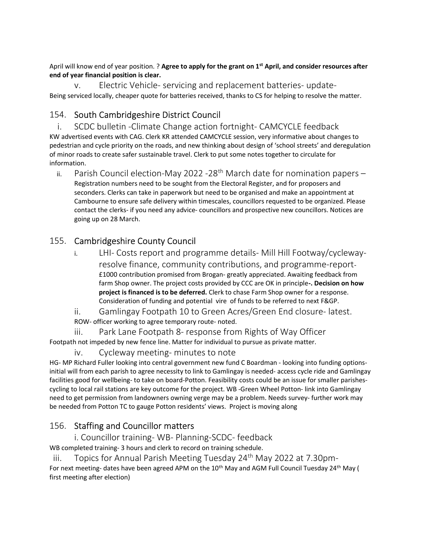April will know end of year position. ? Agree to apply for the grant on  $1<sup>st</sup>$  April, and consider resources after end of year financial position is clear.

v. Electric Vehicle- servicing and replacement batteries- update-Being serviced locally, cheaper quote for batteries received, thanks to CS for helping to resolve the matter.

# 154. South Cambridgeshire District Council

i. SCDC bulletin -Climate Change action fortnight- CAMCYCLE feedback KW advertised events with CAG. Clerk KR attended CAMCYCLE session, very informative about changes to pedestrian and cycle priority on the roads, and new thinking about design of 'school streets' and deregulation of minor roads to create safer sustainable travel. Clerk to put some notes together to circulate for information.

ii. Parish Council election-May 2022 -28<sup>th</sup> March date for nomination papers -Registration numbers need to be sought from the Electoral Register, and for proposers and seconders. Clerks can take in paperwork but need to be organised and make an appointment at Cambourne to ensure safe delivery within timescales, councillors requested to be organized. Please contact the clerks- if you need any advice- councillors and prospective new councillors. Notices are going up on 28 March.

# 155. Cambridgeshire County Council

- i. LHI- Costs report and programme details- Mill Hill Footway/cyclewayresolve finance, community contributions, and programme-report- £1000 contribution promised from Brogan- greatly appreciated. Awaiting feedback from farm Shop owner. The project costs provided by CCC are OK in principle-. Decision on how project is financed is to be deferred. Clerk to chase Farm Shop owner for a response. Consideration of funding and potential vire of funds to be referred to next F&GP.
- ii. Gamlingay Footpath 10 to Green Acres/Green End closure- latest. ROW- officer working to agree temporary route- noted.

iii. Park Lane Footpath 8- response from Rights of Way Officer Footpath not impeded by new fence line. Matter for individual to pursue as private matter.

iv. Cycleway meeting- minutes to note

HG- MP Richard Fuller looking into central government new fund C Boardman - looking into funding optionsinitial will from each parish to agree necessity to link to Gamlingay is needed- access cycle ride and Gamlingay facilities good for wellbeing- to take on board-Potton. Feasibility costs could be an issue for smaller parishescycling to local rail stations are key outcome for the project. WB -Green Wheel Potton- link into Gamlingay need to get permission from landowners owning verge may be a problem. Needs survey- further work may be needed from Potton TC to gauge Potton residents' views. Project is moving along

# 156. Staffing and Councillor matters

i. Councillor training- WB- Planning-SCDC- feedback

WB completed training- 3 hours and clerk to record on training schedule.

iii. Topics for Annual Parish Meeting Tuesday  $24<sup>th</sup>$  May 2022 at 7.30pm-For next meeting- dates have been agreed APM on the 10<sup>th</sup> May and AGM Full Council Tuesday 24<sup>th</sup> May ( first meeting after election)